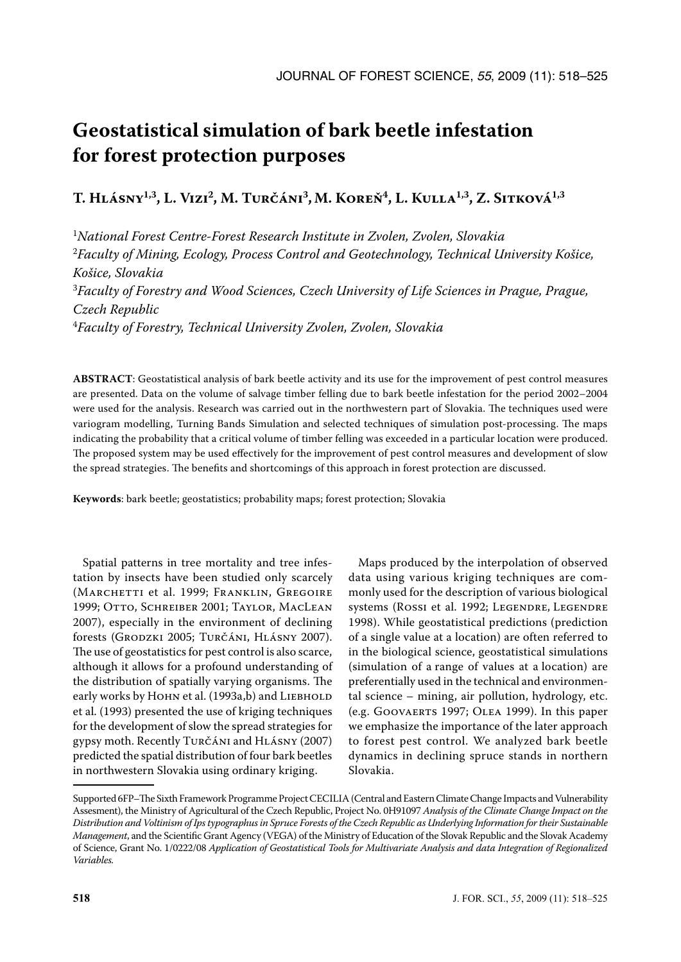# **Geostatistical simulation of bark beetle infestation for forest protection purposes**

**T. Hlásny1,3, L. Vizi2, M. Turčáni3,M. Koreň4, L. Kulla1,3, Z. Sitková1,3**

1 *National Forest Centre-Forest Research Institute in Zvolen, Zvolen, Slovakia* <sup>2</sup>Faculty of Mining, Ecology, Process Control and Geotechnology, Technical University Košice, *Košice, Slovakia* 3 *Faculty of Forestry and Wood Sciences, Czech University of Life Sciences in Prague, Prague, Czech Republic* 4 *Faculty of Forestry, Technical University Zvolen, Zvolen, Slovakia*

**ABSTRACT**: Geostatistical analysis of bark beetle activity and its use for the improvement of pest control measures are presented. Data on the volume of salvage timber felling due to bark beetle infestation for the period 2002–2004 were used for the analysis. Research was carried out in the northwestern part of Slovakia. The techniques used were variogram modelling, Turning Bands Simulation and selected techniques of simulation post-processing. The maps indicating the probability that a critical volume of timber felling was exceeded in a particular location were produced. The proposed system may be used effectively for the improvement of pest control measures and development of slow the spread strategies. The benefits and shortcomings of this approach in forest protection are discussed.

**Keywords**: bark beetle; geostatistics; probability maps; forest protection; Slovakia

Spatial patterns in tree mortality and tree infestation by insects have been studied only scarcely (MARCHETTI et al. 1999; FRANKLIN, GREGOIRE 1999; Otto, Schreiber 2001; Taylor, MacLean 2007), especially in the environment of declining forests (Grodzki 2005; Turčáni, Hlásny 2007). The use of geostatistics for pest control is also scarce, although it allows for a profound understanding of the distribution of spatially varying organisms. The early works by HOHN et al. (1993a,b) and LIEBHOLD et al. (1993) presented the use of kriging techniques for the development of slow the spread strategies for gypsy moth. Recently Turčáni and Hlásny (2007) predicted the spatial distribution of four bark beetles in northwestern Slovakia using ordinary kriging.

Maps produced by the interpolation of observed data using various kriging techniques are commonly used for the description of various biological systems (Rossi et al. 1992; LEGENDRE, LEGENDRE 1998). While geostatistical predictions (prediction of a single value at a location) are often referred to in the biological science, geostatistical simulations (simulation of a range of values at a location) are preferentially used in the technical and environmental science – mining, air pollution, hydrology, etc. (e.g. Goovaerts 1997; Olea 1999). In this paper we emphasize the importance of the later approach to forest pest control. We analyzed bark beetle dynamics in declining spruce stands in northern Slovakia.

Supported 6FP–The Sixth Framework Programme Project CECILIA (Central and Eastern Climate Change Impacts and Vulnerability Assesment), the Ministry of Agricultural of the Czech Republic, Project No. 0H91097 *Analysis of the Climate Change Impact on the Distribution and Voltinism of Ips typographus in Spruce Forests of the Czech Republic as Underlying Information for their Sustainable Management*, and the Scientific Grant Agency (VEGA) of the Ministry of Education of the Slovak Republic and the Slovak Academy of Science, Grant No. 1/0222/08 *Application of Geostatistical Tools for Multivariate Analysis and data Integration of Regionalized Variables.*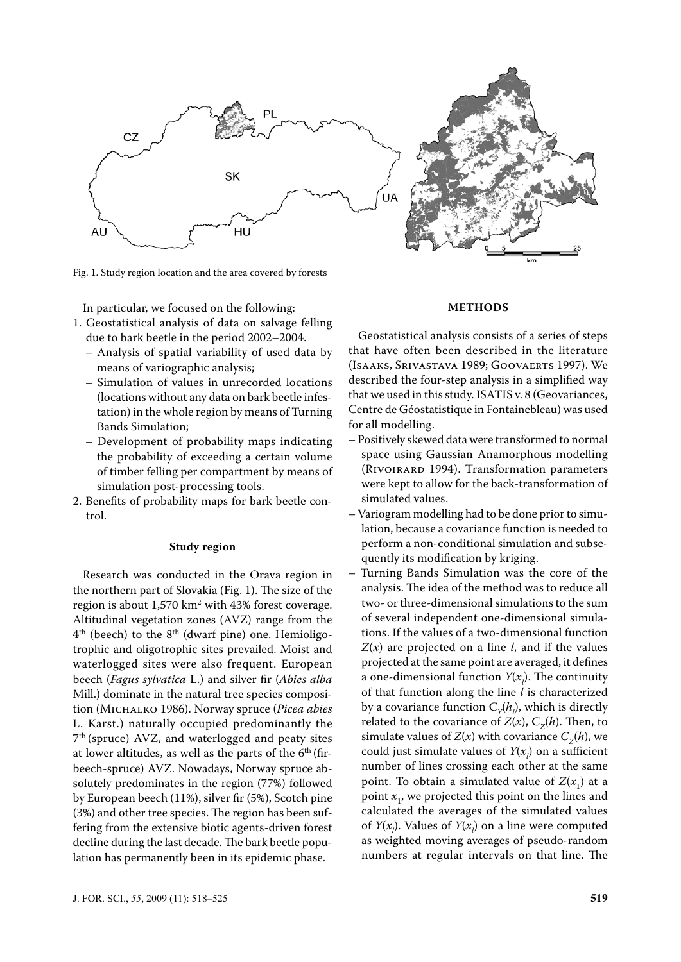

Fig. 1. Study region location and the area covered by forests

In particular, we focused on the following:

- 1. Geostatistical analysis of data on salvage felling due to bark beetle in the period 2002–2004.
	- Analysis of spatial variability of used data by means of variographic analysis;
	- Simulation of values in unrecorded locations (locations without any data on bark beetle infestation) in the whole region by means of Turning Bands Simulation;
	- Development of probability maps indicating the probability of exceeding a certain volume of timber felling per compartment by means of simulation post-processing tools.
- 2. Benefits of probability maps for bark beetle control.

#### **Study region**

Research was conducted in the Orava region in the northern part of Slovakia (Fig. 1). The size of the region is about  $1,570 \text{ km}^2$  with  $43\%$  forest coverage. Altitudinal vegetation zones (avz) range from the  $4<sup>th</sup>$  (beech) to the  $8<sup>th</sup>$  (dwarf pine) one. Hemioligotrophic and oligotrophic sites prevailed. Moist and waterlogged sites were also frequent. European beech (*Fagus sylvatica* L.) and silver fir (*Abies alba* Mill.) dominate in the natural tree species composition (Michalko 1986). Norway spruce (*Picea abies* L. Karst.) naturally occupied predominantly the  $7<sup>th</sup>$  (spruce) AVZ, and waterlogged and peaty sites at lower altitudes, as well as the parts of the  $6<sup>th</sup>$  (firbeech-spruce) AVZ. Nowadays, Norway spruce absolutely predominates in the region (77%) followed by European beech (11%), silver fir (5%), Scotch pine (3%) and other tree species. The region has been suffering from the extensive biotic agents-driven forest decline during the last decade. The bark beetle population has permanently been in its epidemic phase.

Geostatistical analysis consists of a series of steps that have often been described in the literature (Isaaks, Srivastava 1989; Goovaerts 1997). We described the four-step analysis in a simplified way that we used in this study. ISATIS v. 8 (Geovariances, Centre de Géostatistique in Fontainebleau) was used for all modelling.

**METHODS**

- Positively skewed data were transformed to normal space using Gaussian Anamorphous modelling (RIVOIRARD 1994). Transformation parameters were kept to allow for the back-transformation of simulated values.
- Variogram modelling had to be done prior to simulation, because a covariance function is needed to perform a non-conditional simulation and subsequently its modification by kriging.
- Turning Bands Simulation was the core of the analysis. The idea of the method was to reduce all two- or three-dimensional simulations to the sum of several independent one-dimensional simulations. If the values of a two-dimensional function *Z*(*x*) are projected on a line *l*, and if the values projected at the same point are averaged, it defines a one-dimensional function  $Y(x_j)$ . The continuity of that function along the line *l* is characterized by a covariance function  $C_Y(h_l)$ , which is directly related to the covariance of  $Z(x)$ ,  $C_z(h)$ . Then, to simulate values of  $Z(x)$  with covariance  $C_z(h)$ , we could just simulate values of  $Y(x_l)$  on a sufficient number of lines crossing each other at the same point. To obtain a simulated value of  $Z(x_1)$  at a point  $x_1$ , we projected this point on the lines and calculated the averages of the simulated values of  $Y(x_l)$ . Values of  $Y(x_l)$  on a line were computed as weighted moving averages of pseudo-random numbers at regular intervals on that line. The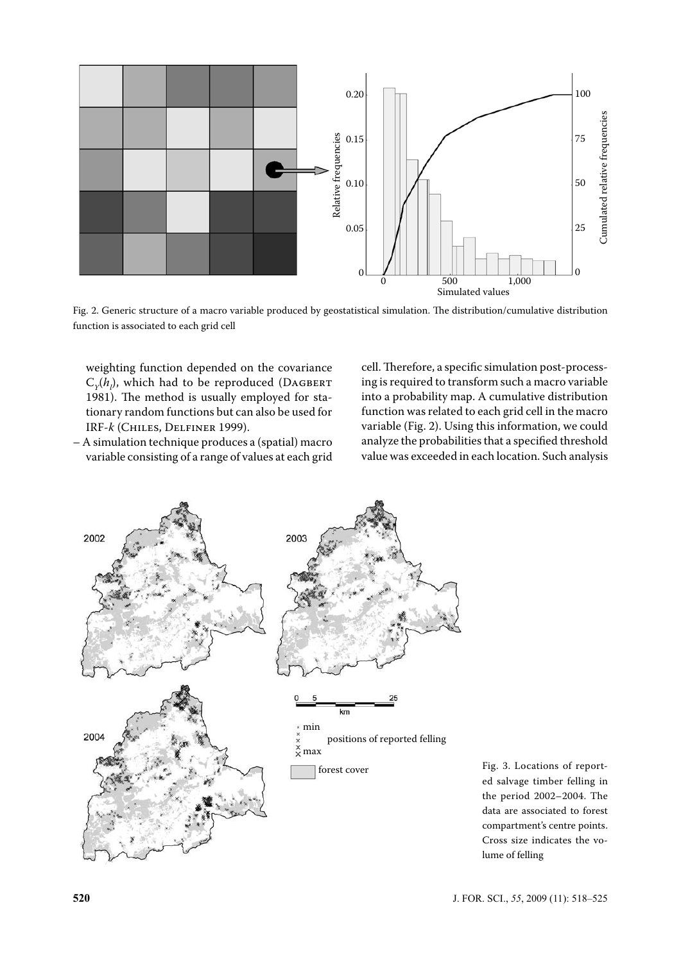

Fig. 2. Generic structure of a macro variable produced by geostatistical simulation. The distribution/cumulative distribution function is associated to each grid cell

weighting function depended on the covariance  $C_{\gamma}(h_{\parallel})$ , which had to be reproduced (DAGBERT 1981). The method is usually employed for stationary random functions but can also be used for IRF-*k* (Chiles, Delfiner 1999).

– A simulation technique produces a (spatial) macro variable consisting of a range of values at each grid cell. Therefore, a specific simulation post-processing is required to transform such a macro variable into a probability map. A cumulative distribution function was related to each grid cell in the macro variable (Fig. 2). Using this information, we could analyze the probabilities that a specified threshold value was exceeded in each location. Such analysis



Fig. 3. Locations of reported salvage timber felling in the period 2002–2004. The data are associated to forest compartment's centre points. Cross size indicates the volume of felling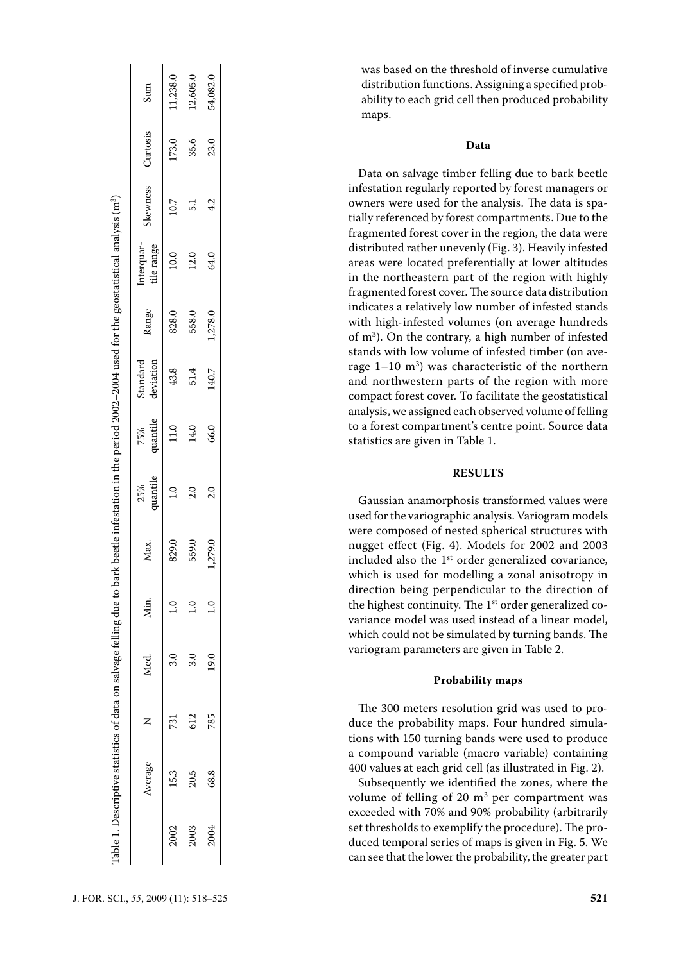|                                                                                                                                                                          | Sum                      | 11,238.0 | 12,605.0      | 54,082.0       |
|--------------------------------------------------------------------------------------------------------------------------------------------------------------------------|--------------------------|----------|---------------|----------------|
| Table 1. Descriptive statistics of data on salvage felling due to bark beetle infestation in the period 2002–2004 used for the geostatistical analysis (m <sup>3</sup> ) | Curtosis                 | 173.0    | 35.6          | 23.0           |
|                                                                                                                                                                          | Skewness                 | 10.7     | 5.1           | 4.2            |
|                                                                                                                                                                          | Interquar-<br>tile range | 10.0     | 12.0          | 64.0           |
|                                                                                                                                                                          | Range                    | 828.0    | 558.0         | 1,278.0        |
|                                                                                                                                                                          | deviation<br>Standard    | 43.8     | 51.4          | 140.7          |
|                                                                                                                                                                          | 75%<br>quantile          | 11.0     | 14.0          | 66.0           |
|                                                                                                                                                                          | quantile<br>25%          |          | $\frac{0}{2}$ | $\overline{c}$ |
|                                                                                                                                                                          | Max.                     | 829.0    | 559.0         | 1,279.0        |
|                                                                                                                                                                          | Min.                     |          |               |                |
|                                                                                                                                                                          | Med.                     | ್ಲ<br>ಇ  | 3.0           | 19.0           |
|                                                                                                                                                                          | Z                        | 731      | 612           | 785            |
|                                                                                                                                                                          | Average                  | 15.3     | 20.5          | 68.8           |
|                                                                                                                                                                          |                          | 2002     | 2003          | 2004           |

was based on the threshold of inverse cumulative distribution functions. Assigning a specified prob ability to each grid cell then produced probability maps.

### **Data**

Data on salvage timber felling due to bark beetle infestation regularly reported by forest managers or owners were used for the analysis. The data is spa tially referenced by forest compartments. Due to the fragmented forest cover in the region, the data were distributed rather unevenly (Fig. 3). Heavily infested areas were located preferentially at lower altitudes in the northeastern part of the region with highly fragmented forest cover. The source data distribution indicates a relatively low number of infested stands with high-infested volumes (on average hundreds of m 3 ). On the contrary, a high number of infested stands with low volume of infested timber (on average  $1-10$  m<sup>3</sup>) was characteristic of the northern and northwestern parts of the region with more compact forest cover. To facilitate the geostatistical analysis, we assigned each observed volume of felling to a forest compartment's centre point. Source data statistics are given in Table 1.

#### **RESULTS**

Gaussian anamorphosis transformed values were used for the variographic analysis. Variogram models were composed of nested spherical structures with nugget effect (Fig. 4). Models for 2002 and 2003 included also the  $1<sup>st</sup>$  order generalized covariance, which is used for modelling a zonal anisotropy in direction being perpendicular to the direction of the highest continuity. The  $1<sup>st</sup>$  order generalized covariance model was used instead of a linear model, which could not be simulated by turning bands. The variogram parameters are given in Table 2.

#### **Probability maps**

The 300 meters resolution grid was used to pro duce the probability maps. Four hundred simula tions with 150 turning bands were used to produce a compound variable (macro variable) containing 400 values at each grid cell (as illustrated in Fig. 2).

Subsequently we identified the zones, where the volume of felling of 20  $m<sup>3</sup>$  per compartment was exceeded with 70% and 90% probability (arbitrarily set thresholds to exemplify the procedure). The pro duced temporal series of maps is given in Fig. 5. We can see that the lower the probability, the greater part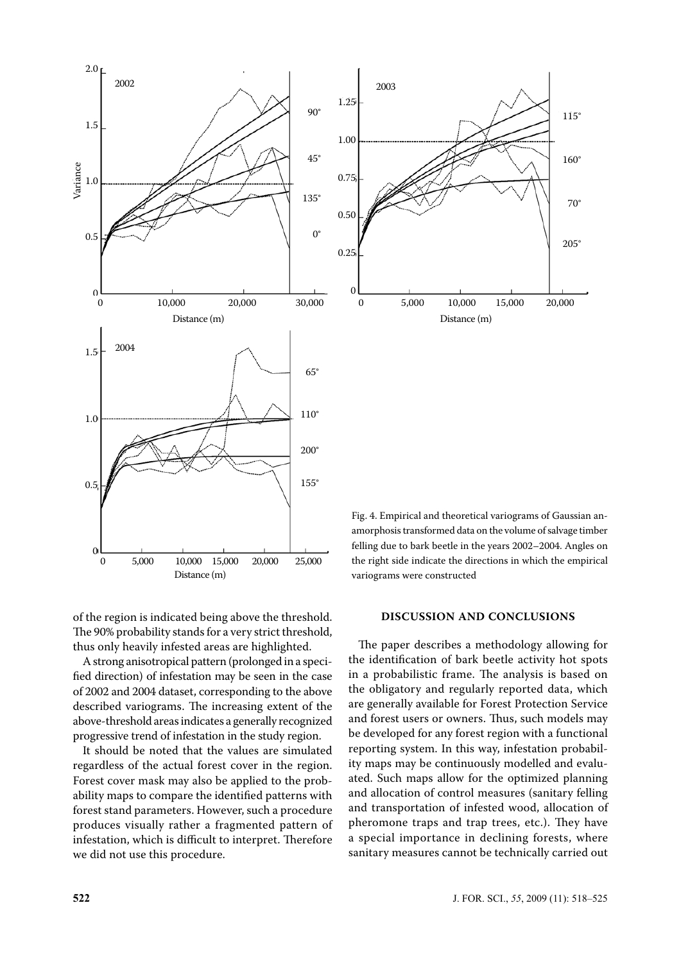



of the region is indicated being above the threshold. The 90% probability stands for a very strict threshold,

thus only heavily infested areas are highlighted. A strong anisotropical pattern (prolonged in a specified direction) of infestation may be seen in the case of 2002 and 2004 dataset, corresponding to the above described variograms. The increasing extent of the above-threshold areas indicates a generally recognized progressive trend of infestation in the study region.

It should be noted that the values are simulated regardless of the actual forest cover in the region. Forest cover mask may also be applied to the probability maps to compare the identified patterns with forest stand parameters. However, such a procedure produces visually rather a fragmented pattern of infestation, which is difficult to interpret. Therefore we did not use this procedure.

Fig. 4. Empirical and theoretical variograms of Gaussian anamorphosis transformed data on the volume of salvage timber felling due to bark beetle in the years 2002–2004. Angles on the right side indicate the directions in which the empirical variograms were constructed

#### **DISCUSSION AND CONCLUSIONS**

The paper describes a methodology allowing for the identification of bark beetle activity hot spots in a probabilistic frame. The analysis is based on the obligatory and regularly reported data, which are generally available for Forest Protection Service and forest users or owners. Thus, such models may be developed for any forest region with a functional reporting system. In this way, infestation probability maps may be continuously modelled and evaluated. Such maps allow for the optimized planning and allocation of control measures (sanitary felling and transportation of infested wood, allocation of pheromone traps and trap trees, etc.). They have a special importance in declining forests, where sanitary measures cannot be technically carried out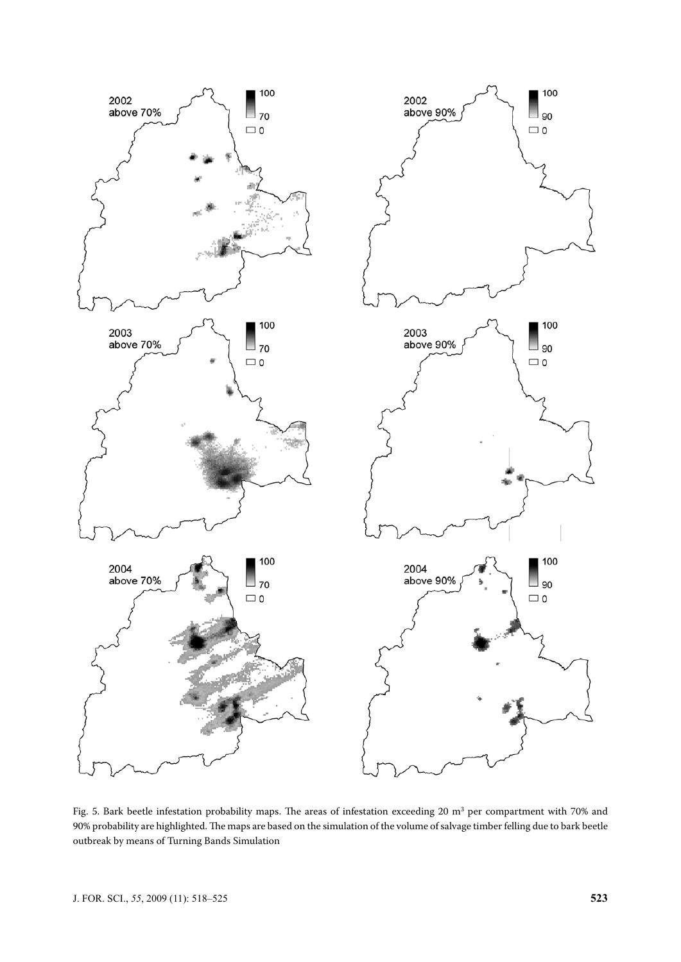

Fig. 5. Bark beetle infestation probability maps. The areas of infestation exceeding 20  $\mathrm{m}^3$  per compartment with 70% and 90% probability are highlighted. The maps are based on the simulation of the volume of salvage timber felling due to bark beetle outbreak by means of Turning Bands Simulation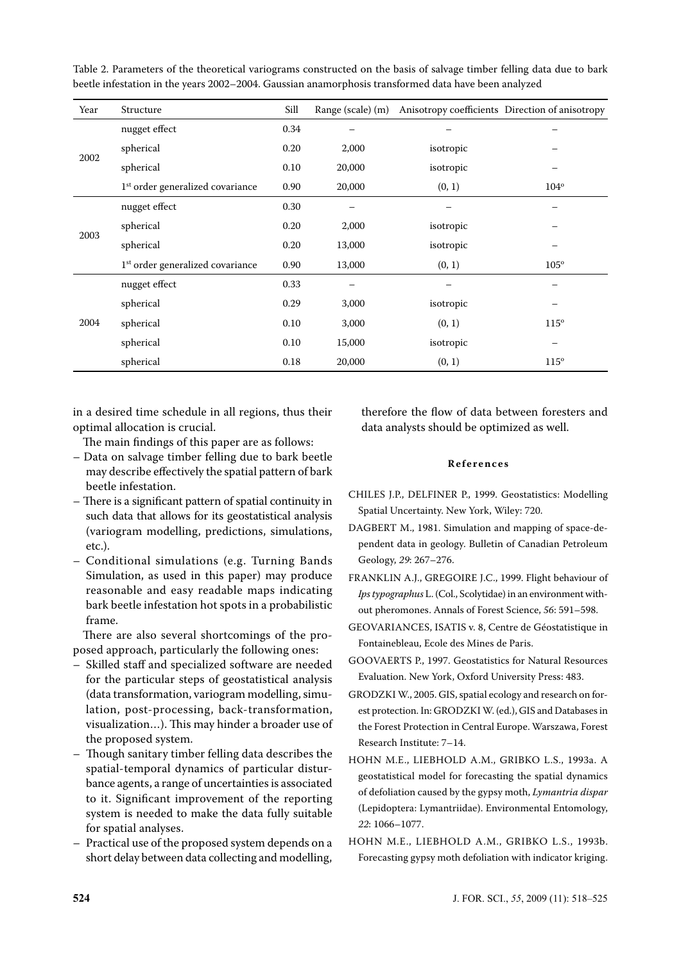| Table 2. Parameters of the theoretical variograms constructed on the basis of salvage timber felling data due to bark |  |
|-----------------------------------------------------------------------------------------------------------------------|--|
| beetle infestation in the years 2002-2004. Gaussian anamorphosis transformed data have been analyzed                  |  |

| Year | Structure                                    | Sill | Range (scale) (m) |           | Anisotropy coefficients Direction of anisotropy |
|------|----------------------------------------------|------|-------------------|-----------|-------------------------------------------------|
| 2002 | nugget effect                                | 0.34 |                   |           |                                                 |
|      | spherical                                    | 0.20 | 2,000             | isotropic |                                                 |
|      | spherical                                    | 0.10 | 20,000            | isotropic |                                                 |
|      | 1 <sup>st</sup> order generalized covariance | 0.90 | 20,000            | (0, 1)    | $104^\circ$                                     |
| 2003 | nugget effect                                | 0.30 |                   |           |                                                 |
|      | spherical                                    | 0.20 | 2,000             | isotropic |                                                 |
|      | spherical                                    | 0.20 | 13,000            | isotropic |                                                 |
|      | 1 <sup>st</sup> order generalized covariance | 0.90 | 13,000            | (0, 1)    | $105^\circ$                                     |
| 2004 | nugget effect                                | 0.33 |                   |           |                                                 |
|      | spherical                                    | 0.29 | 3,000             | isotropic |                                                 |
|      | spherical                                    | 0.10 | 3,000             | (0, 1)    | $115^\circ$                                     |
|      | spherical                                    | 0.10 | 15,000            | isotropic | $\overline{\phantom{0}}$                        |
|      | spherical                                    | 0.18 | 20,000            | (0, 1)    | $115^\circ$                                     |

in a desired time schedule in all regions, thus their optimal allocation is crucial.

The main findings of this paper are as follows:

- Data on salvage timber felling due to bark beetle may describe effectively the spatial pattern of bark beetle infestation.
- There is a significant pattern of spatial continuity in such data that allows for its geostatistical analysis (variogram modelling, predictions, simulations, etc.).
- Conditional simulations (e.g. Turning Bands Simulation, as used in this paper) may produce reasonable and easy readable maps indicating bark beetle infestation hot spots in a probabilistic frame.

There are also several shortcomings of the proposed approach, particularly the following ones:

- Skilled staff and specialized software are needed for the particular steps of geostatistical analysis (data transformation, variogram modelling, simulation, post-processing, back-transformation, visualization…). This may hinder a broader use of the proposed system.
- Though sanitary timber felling data describes the spatial-temporal dynamics of particular disturbance agents, a range of uncertainties is associated to it. Significant improvement of the reporting system is needed to make the data fully suitable for spatial analyses.
- Practical use of the proposed system depends on a short delay between data collecting and modelling,

therefore the flow of data between foresters and data analysts should be optimized as well.

#### **R e f e r e n c e s**

- Chiles J.P., Delfiner P., 1999. Geostatistics: Modelling Spatial Uncertainty. New York, Wiley: 720.
- DAGBERT M., 1981. Simulation and mapping of space-dependent data in geology. Bulletin of Canadian Petroleum Geology, *29*: 267–276.
- FRANKLIN A.J., GREGOIRE I.C., 1999. Flight behaviour of *Ips typographus* L. (Col., Scolytidae) in an environment without pheromones. Annals of Forest Science, *56*: 591–598.
- Geovariances, ISATIS v. 8, Centre de Géostatistique in Fontainebleau, Ecole des Mines de Paris.
- GOOVAERTS P., 1997. Geostatistics for Natural Resources Evaluation. New York, Oxford University Press: 483.
- GRODZKI W., 2005. GIS, spatial ecology and research on forest protection. In: GRODZKI W. (ed.), GIS and Databases in the forest protection in Central Europe. Warszawa, Forest Research Institute: 7–14.
- Hohn M.E., Liebhold A.M., Gribko L.S., 1993a. A geostatistical model for forecasting the spatial dynamics of defoliation caused by the gypsy moth, *Lymantria dispar* (Lepidoptera: Lymantriidae). Environmental Entomology, *22*: 1066–1077.
- Hohn M.E., Liebhold A.M., Gribko L.S., 1993b. Forecasting gypsy moth defoliation with indicator kriging.